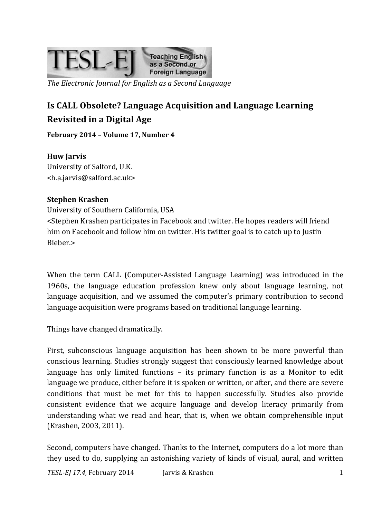

*The Electronic Journal for English as a Second Language*

# **Is CALL Obsolete? Language Acquisition and Language Learning Revisited in a Digital Age**

February 2014 - Volume 17, Number 4

**Huw Jarvis** University of Salford, U.K.

<h.a.jarvis@salford.ac.uk>

### **Stephen Krashen**

University of Southern California, USA <Stephen Krashen participates in Facebook and twitter. He hopes readers will friend him on Facebook and follow him on twitter. His twitter goal is to catch up to Justin Bieber.>

When the term CALL (Computer-Assisted Language Learning) was introduced in the 1960s, the language education profession knew only about language learning, not language acquisition, and we assumed the computer's primary contribution to second language acquisition were programs based on traditional language learning.

Things have changed dramatically.

First, subconscious language acquisition has been shown to be more powerful than conscious learning. Studies strongly suggest that consciously learned knowledge about language has only limited functions  $-$  its primary function is as a Monitor to edit language we produce, either before it is spoken or written, or after, and there are severe conditions that must be met for this to happen successfully. Studies also provide consistent evidence that we acquire language and develop literacy primarily from understanding what we read and hear, that is, when we obtain comprehensible input (Krashen, 2003, 2011).

Second, computers have changed. Thanks to the Internet, computers do a lot more than they used to do, supplying an astonishing variety of kinds of visual, aural, and written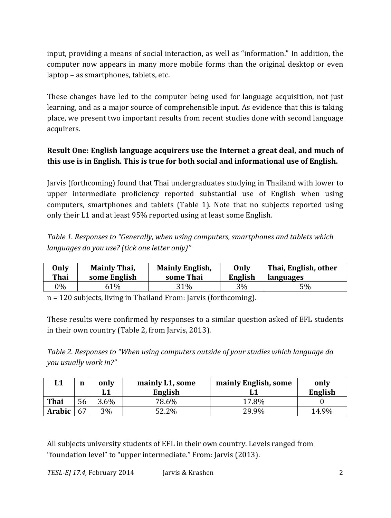input, providing a means of social interaction, as well as "information." In addition, the computer now appears in many more mobile forms than the original desktop or even  $l$ aptop – as smartphones, tablets, etc.

These changes have led to the computer being used for language acquisition, not just learning, and as a major source of comprehensible input. As evidence that this is taking place, we present two important results from recent studies done with second language acquirers.

## **Result One: English language acquirers use the Internet a great deal, and much of this use is in English. This is true for both social and informational use of English.**

Jarvis (forthcoming) found that Thai undergraduates studying in Thailand with lower to upper intermediate proficiency reported substantial use of English when using computers, smartphones and tablets (Table 1). Note that no subjects reported using only their L1 and at least 95% reported using at least some English.

*Table 1. Responses to "Generally, when using computers, smartphones and tablets which languages do you use? (tick one letter only)"*

| Only<br><b>Thai</b> | <b>Mainly Thai,</b><br><b>Mainly English,</b><br>some English<br>some Thai |     | Only<br>English | Thai, English, other<br>languages |  |
|---------------------|----------------------------------------------------------------------------|-----|-----------------|-----------------------------------|--|
| 0%                  | <b>51%</b>                                                                 | 31% | 3%              | $5\%$                             |  |

 $n = 120$  subjects, living in Thailand From: Jarvis (forthcoming).

These results were confirmed by responses to a similar question asked of EFL students in their own country (Table 2, from Jarvis, 2013).

*Table 2. Responses to "When using computers outside of your studies which language do you usually work in?"*

| L1          | $\mathbf n$ | only<br>LL | mainly L1, some<br>English | mainly English, some | only<br>English |
|-------------|-------------|------------|----------------------------|----------------------|-----------------|
| <b>Thai</b> | 56          | 3.6%       | 78.6%                      | 17.8%                |                 |
| Arabic      | 67          | 3%         | 52.2%                      | 29.9%                | 14.9%           |

All subjects university students of EFL in their own country. Levels ranged from "foundation level" to "upper intermediate." From: Jarvis (2013).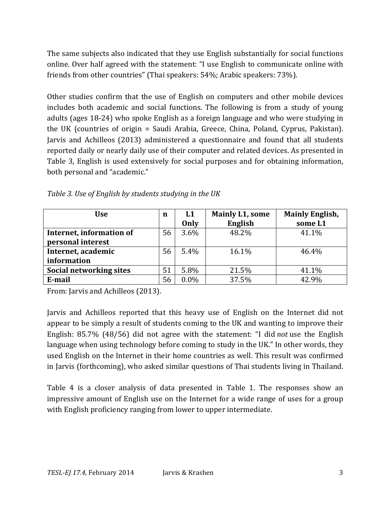The same subjects also indicated that they use English substantially for social functions online. Over half agreed with the statement: "I use English to communicate online with friends from other countries" (Thai speakers: 54%; Arabic speakers: 73%).

Other studies confirm that the use of English on computers and other mobile devices includes both academic and social functions. The following is from a study of young adults (ages 18-24) who spoke English as a foreign language and who were studying in the UK (countries of origin = Saudi Arabia, Greece, China, Poland, Cyprus, Pakistan). Jarvis and Achilleos (2013) administered a questionnaire and found that all students reported daily or nearly daily use of their computer and related devices. As presented in Table 3, English is used extensively for social purposes and for obtaining information, both personal and "academic."

| <b>Use</b>               | n  | L1      | <b>Mainly L1, some</b> | <b>Mainly English,</b> |
|--------------------------|----|---------|------------------------|------------------------|
|                          |    | Only    | English                | some L1                |
| Internet, information of | 56 | 3.6%    | 48.2%                  | 41.1%                  |
| personal interest        |    |         |                        |                        |
| Internet, academic       | 56 | 5.4%    | 16.1%                  | 46.4%                  |
| information              |    |         |                        |                        |
| Social networking sites  | 51 | 5.8%    | 21.5%                  | 41.1%                  |
| E-mail                   | 56 | $0.0\%$ | 37.5%                  | 42.9%                  |

*Table 3. Use of English by students studying in the UK*

From: Jarvis and Achilleos (2013).

Jarvis and Achilleos reported that this heavy use of English on the Internet did not appear to be simply a result of students coming to the UK and wanting to improve their English: 85.7% (48/56) did not agree with the statement: "I did *not* use the English language when using technology before coming to study in the UK." In other words, they used English on the Internet in their home countries as well. This result was confirmed in Jarvis (forthcoming), who asked similar questions of Thai students living in Thailand.

Table 4 is a closer analysis of data presented in Table 1. The responses show an impressive amount of English use on the Internet for a wide range of uses for a group with English proficiency ranging from lower to upper intermediate.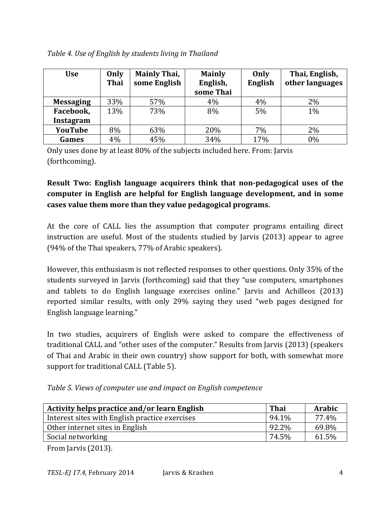| <b>Use</b>       | Only<br><b>Thai</b> | <b>Mainly Thai,</b><br>some English | <b>Mainly</b><br>English,<br>some Thai | Only<br><b>English</b> | Thai, English,<br>other languages |
|------------------|---------------------|-------------------------------------|----------------------------------------|------------------------|-----------------------------------|
| <b>Messaging</b> | 33%                 | 57%                                 | 4%                                     | 4%                     | 2%                                |
| Facebook,        | 13%                 | 73%                                 | 8%                                     | 5%                     | 1%                                |
| <b>Instagram</b> |                     |                                     |                                        |                        |                                   |
| YouTube          | 8%                  | 63%                                 | 20%                                    | 7%                     | 2%                                |
| Games            | 4%                  | 45%                                 | 34%                                    | 17%                    | 0%                                |

*Table 4. Use of English by students living in Thailand*

Only uses done by at least 80% of the subjects included here. From: Jarvis (forthcoming).

# **Result Two: English language acquirers think that non-pedagogical uses of the computer in English are helpful for English language development, and in some cases value them more than they value pedagogical programs.**

At the core of CALL lies the assumption that computer programs entailing direct instruction are useful. Most of the students studied by Jarvis (2013) appear to agree (94% of the Thai speakers, 77% of Arabic speakers).

However, this enthusiasm is not reflected responses to other questions. Only 35% of the students surveyed in Jarvis (forthcoming) said that they "use computers, smartphones and tablets to do English language exercises online." Jarvis and Achilleos (2013) reported similar results, with only 29% saying they used "web pages designed for English language learning."

In two studies, acquirers of English were asked to compare the effectiveness of traditional CALL and "other uses of the computer." Results from Jarvis (2013) (speakers of Thai and Arabic in their own country) show support for both, with somewhat more support for traditional CALL (Table 5).

*Table 5. Views of computer use and impact on English competence*

| <b>Activity helps practice and/or learn English</b> | <b>Thai</b> | <b>Arabic</b> |
|-----------------------------------------------------|-------------|---------------|
| Interest sites with English practice exercises      | 94.1%       | 77.4%         |
| Other internet sites in English                     | 92.2%       | 69.8%         |
| Social networking                                   | 74.5%       | 61.5%         |

From Jarvis (2013).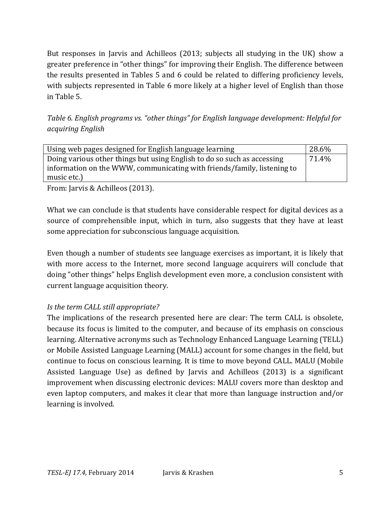But responses in Jarvis and Achilleos (2013; subjects all studying in the UK) show a greater preference in "other things" for improving their English. The difference between the results presented in Tables 5 and 6 could be related to differing proficiency levels, with subjects represented in Table 6 more likely at a higher level of English than those in Table 5.

*Table 6. English programs vs. "other things" for English language development: Helpful for acquiring English*

| Using web pages designed for English language learning                  | 28.6% |  |
|-------------------------------------------------------------------------|-------|--|
| Doing various other things but using English to do so such as accessing | 71.4% |  |
| information on the WWW, communicating with friends/family, listening to |       |  |
| music etc.)                                                             |       |  |

From: Jarvis & Achilleos (2013).

What we can conclude is that students have considerable respect for digital devices as a source of comprehensible input, which in turn, also suggests that they have at least some appreciation for subconscious language acquisition.

Even though a number of students see language exercises as important, it is likely that with more access to the Internet, more second language acquirers will conclude that doing "other things" helps English development even more, a conclusion consistent with current language acquisition theory.

#### *Is the term CALL still appropriate?*

The implications of the research presented here are clear: The term CALL is obsolete, because its focus is limited to the computer, and because of its emphasis on conscious learning. Alternative acronyms such as Technology Enhanced Language Learning (TELL) or Mobile Assisted Language Learning (MALL) account for some changes in the field, but continue to focus on conscious learning. It is time to move beyond CALL. MALU (Mobile Assisted Language Use) as defined by Jarvis and Achilleos (2013) is a significant improvement when discussing electronic devices: MALU covers more than desktop and even laptop computers, and makes it clear that more than language instruction and/or learning is involved.